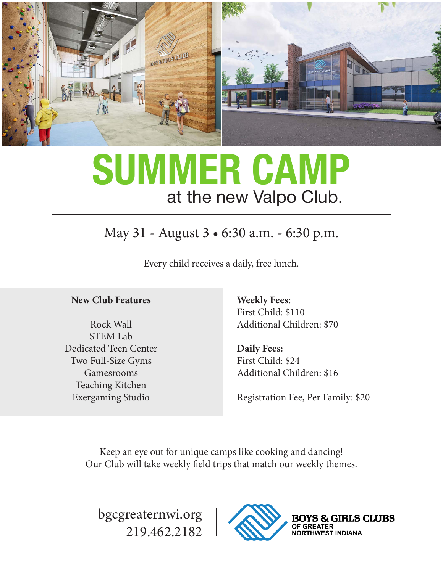

# **SUMMER CAMP** at the new Valpo Club.

### May 31 - August 3 • 6:30 a.m. - 6:30 p.m.

Every child receives a daily, free lunch.

#### **New Club Features**

Rock Wall STEM Lab Dedicated Teen Center Two Full-Size Gyms Gamesrooms Teaching Kitchen Exergaming Studio

**Weekly Fees:** First Child: \$110 Additional Children: \$70

**Daily Fees:** First Child: \$24 Additional Children: \$16

Registration Fee, Per Family: \$20

Keep an eye out for unique camps like cooking and dancing! Our Club will take weekly field trips that match our weekly themes.

bgcgreaternwi.org 219.462.2182